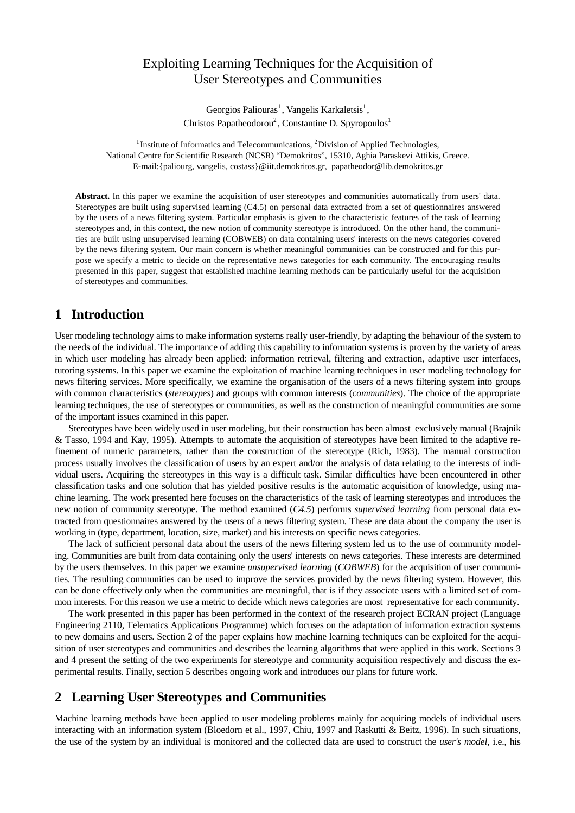# Exploiting Learning Techniques for the Acquisition of User Stereotypes and Communities

Georgios Paliouras<sup>1</sup>, Vangelis Karkaletsis<sup>1</sup>, Christos Papatheodorou<sup>2</sup>, Constantine D. Spyropoulos<sup>1</sup>

<sup>1</sup> Institute of Informatics and Telecommunications,  ${}^{2}$ Division of Applied Technologies, National Centre for Scientific Research (NCSR) "Demokritos", 15310, Aghia Paraskevi Attikis, Greece. E-mail:{paliourg, vangelis, costass}@iit.demokritos.gr, papatheodor@lib.demokritos.gr

**Abstract.** In this paper we examine the acquisition of user stereotypes and communities automatically from users' data. Stereotypes are built using supervised learning (C4.5) on personal data extracted from a set of questionnaires answered by the users of a news filtering system. Particular emphasis is given to the characteristic features of the task of learning stereotypes and, in this context, the new notion of community stereotype is introduced. On the other hand, the communities are built using unsupervised learning (COBWEB) on data containing users' interests on the news categories covered by the news filtering system. Our main concern is whether meaningful communities can be constructed and for this purpose we specify a metric to decide on the representative news categories for each community. The encouraging results presented in this paper, suggest that established machine learning methods can be particularly useful for the acquisition of stereotypes and communities.

# **1 Introduction**

User modeling technology aims to make information systems really user-friendly, by adapting the behaviour of the system to the needs of the individual. The importance of adding this capability to information systems is proven by the variety of areas in which user modeling has already been applied: information retrieval, filtering and extraction, adaptive user interfaces, tutoring systems. In this paper we examine the exploitation of machine learning techniques in user modeling technology for news filtering services. More specifically, we examine the organisation of the users of a news filtering system into groups with common characteristics (*stereotypes*) and groups with common interests (*communities*). The choice of the appropriate learning techniques, the use of stereotypes or communities, as well as the construction of meaningful communities are some of the important issues examined in this paper.

Stereotypes have been widely used in user modeling, but their construction has been almost exclusively manual (Brajnik & Tasso, 1994 and Kay, 1995). Attempts to automate the acquisition of stereotypes have been limited to the adaptive refinement of numeric parameters, rather than the construction of the stereotype (Rich, 1983). The manual construction process usually involves the classification of users by an expert and/or the analysis of data relating to the interests of individual users. Acquiring the stereotypes in this way is a difficult task. Similar difficulties have been encountered in other classification tasks and one solution that has yielded positive results is the automatic acquisition of knowledge, using machine learning. The work presented here focuses on the characteristics of the task of learning stereotypes and introduces the new notion of community stereotype. The method examined (*C4.5*) performs *supervised learning* from personal data extracted from questionnaires answered by the users of a news filtering system. These are data about the company the user is working in (type, department, location, size, market) and his interests on specific news categories.

The lack of sufficient personal data about the users of the news filtering system led us to the use of community modeling. Communities are built from data containing only the users' interests on news categories. These interests are determined by the users themselves. In this paper we examine *unsupervised learning* (*COBWEB*) for the acquisition of user communities. The resulting communities can be used to improve the services provided by the news filtering system. However, this can be done effectively only when the communities are meaningful, that is if they associate users with a limited set of common interests. For this reason we use a metric to decide which news categories are most representative for each community.

The work presented in this paper has been performed in the context of the research project ECRAN project (Language Engineering 2110, Telematics Applications Programme) which focuses on the adaptation of information extraction systems to new domains and users. Section 2 of the paper explains how machine learning techniques can be exploited for the acquisition of user stereotypes and communities and describes the learning algorithms that were applied in this work. Sections 3 and 4 present the setting of the two experiments for stereotype and community acquisition respectively and discuss the experimental results. Finally, section 5 describes ongoing work and introduces our plans for future work.

## **2 Learning User Stereotypes and Communities**

Machine learning methods have been applied to user modeling problems mainly for acquiring models of individual users interacting with an information system (Bloedorn et al., 1997, Chiu, 1997 and Raskutti & Beitz, 1996). In such situations, the use of the system by an individual is monitored and the collected data are used to construct the *user's model*, i.e., his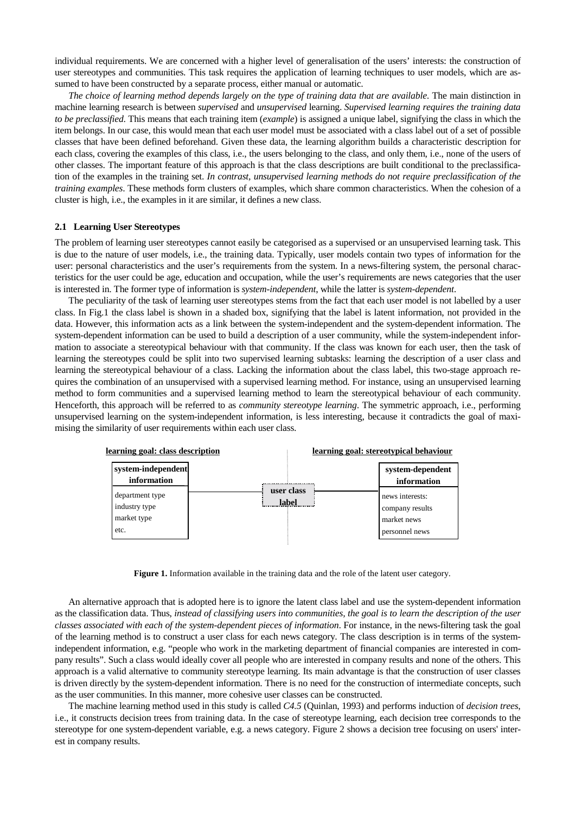individual requirements. We are concerned with a higher level of generalisation of the users' interests: the construction of user stereotypes and communities. This task requires the application of learning techniques to user models, which are assumed to have been constructed by a separate process, either manual or automatic.

*The choice of learning method depends largely on the type of training data that are available*. The main distinction in machine learning research is between *supervised* and *unsupervised* learning. *Supervised learning requires the training data to be preclassified*. This means that each training item (*example*) is assigned a unique label, signifying the class in which the item belongs. In our case, this would mean that each user model must be associated with a class label out of a set of possible classes that have been defined beforehand. Given these data, the learning algorithm builds a characteristic description for each class, covering the examples of this class, i.e., the users belonging to the class, and only them, i.e., none of the users of other classes. The important feature of this approach is that the class descriptions are built conditional to the preclassification of the examples in the training set. *In contrast, unsupervised learning methods do not require preclassification of the training examples*. These methods form clusters of examples, which share common characteristics. When the cohesion of a cluster is high, i.e., the examples in it are similar, it defines a new class.

#### **2.1 Learning User Stereotypes**

The problem of learning user stereotypes cannot easily be categorised as a supervised or an unsupervised learning task. This is due to the nature of user models, i.e., the training data. Typically, user models contain two types of information for the user: personal characteristics and the user's requirements from the system. In a news-filtering system, the personal characteristics for the user could be age, education and occupation, while the user's requirements are news categories that the user is interested in. The former type of information is *system-independent*, while the latter is *system-dependent*.

The peculiarity of the task of learning user stereotypes stems from the fact that each user model is not labelled by a user class. In Fig.1 the class label is shown in a shaded box, signifying that the label is latent information, not provided in the data. However, this information acts as a link between the system-independent and the system-dependent information. The system-dependent information can be used to build a description of a user community, while the system-independent information to associate a stereotypical behaviour with that community. If the class was known for each user, then the task of learning the stereotypes could be split into two supervised learning subtasks: learning the description of a user class and learning the stereotypical behaviour of a class. Lacking the information about the class label, this two-stage approach requires the combination of an unsupervised with a supervised learning method. For instance, using an unsupervised learning method to form communities and a supervised learning method to learn the stereotypical behaviour of each community. Henceforth, this approach will be referred to as *community stereotype learning*. The symmetric approach, i.e., performing unsupervised learning on the system-independent information, is less interesting, because it contradicts the goal of maximising the similarity of user requirements within each user class.



**Figure 1.** Information available in the training data and the role of the latent user category.

An alternative approach that is adopted here is to ignore the latent class label and use the system-dependent information as the classification data. Thus, *instead of classifying users into communities, the goal is to learn the description of the user classes associated with each of the system-dependent pieces of information*. For instance, in the news-filtering task the goal of the learning method is to construct a user class for each news category. The class description is in terms of the systemindependent information, e.g. "people who work in the marketing department of financial companies are interested in company results". Such a class would ideally cover all people who are interested in company results and none of the others. This approach is a valid alternative to community stereotype learning. Its main advantage is that the construction of user classes is driven directly by the system-dependent information. There is no need for the construction of intermediate concepts, such as the user communities. In this manner, more cohesive user classes can be constructed.

The machine learning method used in this study is called *C4.5* (Quinlan, 1993) and performs induction of *decision trees*, i.e., it constructs decision trees from training data. In the case of stereotype learning, each decision tree corresponds to the stereotype for one system-dependent variable, e.g. a news category. Figure 2 shows a decision tree focusing on users' interest in company results.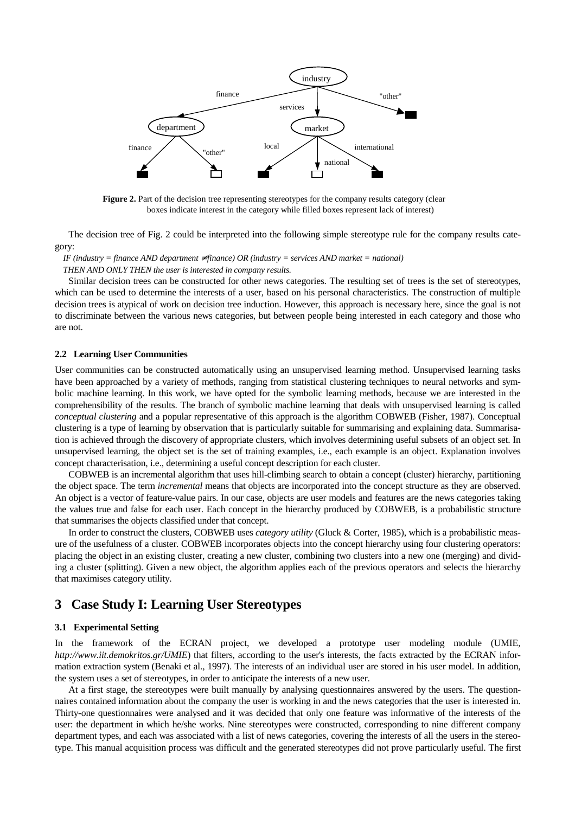

**Figure 2.** Part of the decision tree representing stereotypes for the company results category (clear boxes indicate interest in the category while filled boxes represent lack of interest)

The decision tree of Fig. 2 could be interpreted into the following simple stereotype rule for the company results category:

*IF* (industry = finance AND department ≠finance) OR (industry = services AND market = national)

*THEN AND ONLY THEN the user is interested in company results.*

Similar decision trees can be constructed for other news categories. The resulting set of trees is the set of stereotypes, which can be used to determine the interests of a user, based on his personal characteristics. The construction of multiple decision trees is atypical of work on decision tree induction. However, this approach is necessary here, since the goal is not to discriminate between the various news categories, but between people being interested in each category and those who are not.

#### **2.2 Learning User Communities**

User communities can be constructed automatically using an unsupervised learning method. Unsupervised learning tasks have been approached by a variety of methods, ranging from statistical clustering techniques to neural networks and symbolic machine learning. In this work, we have opted for the symbolic learning methods, because we are interested in the comprehensibility of the results. The branch of symbolic machine learning that deals with unsupervised learning is called *conceptual clustering* and a popular representative of this approach is the algorithm COBWEB (Fisher, 1987). Conceptual clustering is a type of learning by observation that is particularly suitable for summarising and explaining data. Summarisation is achieved through the discovery of appropriate clusters, which involves determining useful subsets of an object set. In unsupervised learning, the object set is the set of training examples, i.e., each example is an object. Explanation involves concept characterisation, i.e., determining a useful concept description for each cluster.

COBWEB is an incremental algorithm that uses hill-climbing search to obtain a concept (cluster) hierarchy, partitioning the object space. The term *incremental* means that objects are incorporated into the concept structure as they are observed. An object is a vector of feature-value pairs. In our case, objects are user models and features are the news categories taking the values true and false for each user. Each concept in the hierarchy produced by COBWEB, is a probabilistic structure that summarises the objects classified under that concept.

In order to construct the clusters, COBWEB uses *category utility* (Gluck & Corter, 1985), which is a probabilistic measure of the usefulness of a cluster. COBWEB incorporates objects into the concept hierarchy using four clustering operators: placing the object in an existing cluster, creating a new cluster, combining two clusters into a new one (merging) and dividing a cluster (splitting). Given a new object, the algorithm applies each of the previous operators and selects the hierarchy that maximises category utility.

## **3 Case Study I: Learning User Stereotypes**

#### **3.1 Experimental Setting**

In the framework of the ECRAN project, we developed a prototype user modeling module (UMIE, *http://www.iit.demokritos.gr/UMIE*) that filters, according to the user's interests, the facts extracted by the ECRAN information extraction system (Benaki et al.*,* 1997). The interests of an individual user are stored in his user model. In addition, the system uses a set of stereotypes, in order to anticipate the interests of a new user.

At a first stage, the stereotypes were built manually by analysing questionnaires answered by the users. The questionnaires contained information about the company the user is working in and the news categories that the user is interested in. Thirty-one questionnaires were analysed and it was decided that only one feature was informative of the interests of the user: the department in which he/she works. Nine stereotypes were constructed, corresponding to nine different company department types, and each was associated with a list of news categories, covering the interests of all the users in the stereotype. This manual acquisition process was difficult and the generated stereotypes did not prove particularly useful. The first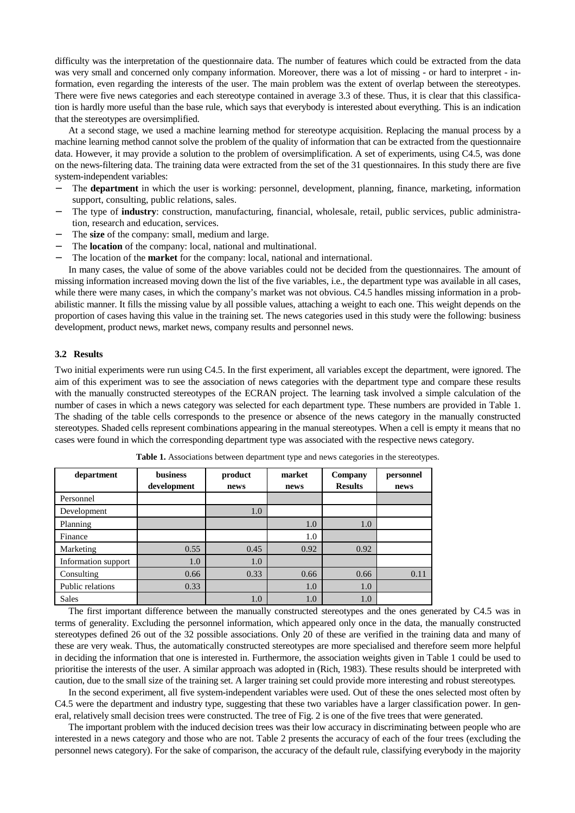difficulty was the interpretation of the questionnaire data. The number of features which could be extracted from the data was very small and concerned only company information. Moreover, there was a lot of missing - or hard to interpret - information, even regarding the interests of the user. The main problem was the extent of overlap between the stereotypes. There were five news categories and each stereotype contained in average 3.3 of these. Thus, it is clear that this classification is hardly more useful than the base rule, which says that everybody is interested about everything. This is an indication that the stereotypes are oversimplified.

At a second stage, we used a machine learning method for stereotype acquisition. Replacing the manual process by a machine learning method cannot solve the problem of the quality of information that can be extracted from the questionnaire data. However, it may provide a solution to the problem of oversimplification. A set of experiments, using C4.5, was done on the news-filtering data. The training data were extracted from the set of the 31 questionnaires. In this study there are five system-independent variables:

- The **department** in which the user is working: personnel, development, planning, finance, marketing, information support, consulting, public relations, sales.
- The type of **industry**: construction, manufacturing, financial, wholesale, retail, public services, public administration, research and education, services.
- The **size** of the company: small, medium and large.
- The **location** of the company: local, national and multinational.
- The location of the **market** for the company: local, national and international.

In many cases, the value of some of the above variables could not be decided from the questionnaires. The amount of missing information increased moving down the list of the five variables, i.e., the department type was available in all cases, while there were many cases, in which the company's market was not obvious. C4.5 handles missing information in a probabilistic manner. It fills the missing value by all possible values, attaching a weight to each one. This weight depends on the proportion of cases having this value in the training set. The news categories used in this study were the following: business development, product news, market news, company results and personnel news.

#### **3.2 Results**

Two initial experiments were run using C4.5. In the first experiment, all variables except the department, were ignored. The aim of this experiment was to see the association of news categories with the department type and compare these results with the manually constructed stereotypes of the ECRAN project. The learning task involved a simple calculation of the number of cases in which a news category was selected for each department type. These numbers are provided in Table 1. The shading of the table cells corresponds to the presence or absence of the news category in the manually constructed stereotypes. Shaded cells represent combinations appearing in the manual stereotypes. When a cell is empty it means that no cases were found in which the corresponding department type was associated with the respective news category.

| department          | <b>business</b> | product | market | Company        | personnel |
|---------------------|-----------------|---------|--------|----------------|-----------|
|                     | development     | news    | news   | <b>Results</b> | news      |
| Personnel           |                 |         |        |                |           |
| Development         |                 | 1.0     |        |                |           |
| Planning            |                 |         | 1.0    | 1.0            |           |
| Finance             |                 |         | 1.0    |                |           |
| Marketing           | 0.55            | 0.45    | 0.92   | 0.92           |           |
| Information support | 1.0             | 1.0     |        |                |           |
| Consulting          | 0.66            | 0.33    | 0.66   | 0.66           | 0.11      |
| Public relations    | 0.33            |         | 1.0    | 1.0            |           |
| <b>Sales</b>        |                 | 1.0     | 1.0    | 1.0            |           |

**Table 1.** Associations between department type and news categories in the stereotypes.

The first important difference between the manually constructed stereotypes and the ones generated by C4.5 was in terms of generality. Excluding the personnel information, which appeared only once in the data, the manually constructed stereotypes defined 26 out of the 32 possible associations. Only 20 of these are verified in the training data and many of these are very weak. Thus, the automatically constructed stereotypes are more specialised and therefore seem more helpful in deciding the information that one is interested in. Furthermore, the association weights given in Table 1 could be used to prioritise the interests of the user. A similar approach was adopted in (Rich, 1983). These results should be interpreted with caution, due to the small size of the training set. A larger training set could provide more interesting and robust stereotypes.

In the second experiment, all five system-independent variables were used. Out of these the ones selected most often by C4.5 were the department and industry type, suggesting that these two variables have a larger classification power. In general, relatively small decision trees were constructed. The tree of Fig. 2 is one of the five trees that were generated.

The important problem with the induced decision trees was their low accuracy in discriminating between people who are interested in a news category and those who are not. Table 2 presents the accuracy of each of the four trees (excluding the personnel news category). For the sake of comparison, the accuracy of the default rule, classifying everybody in the majority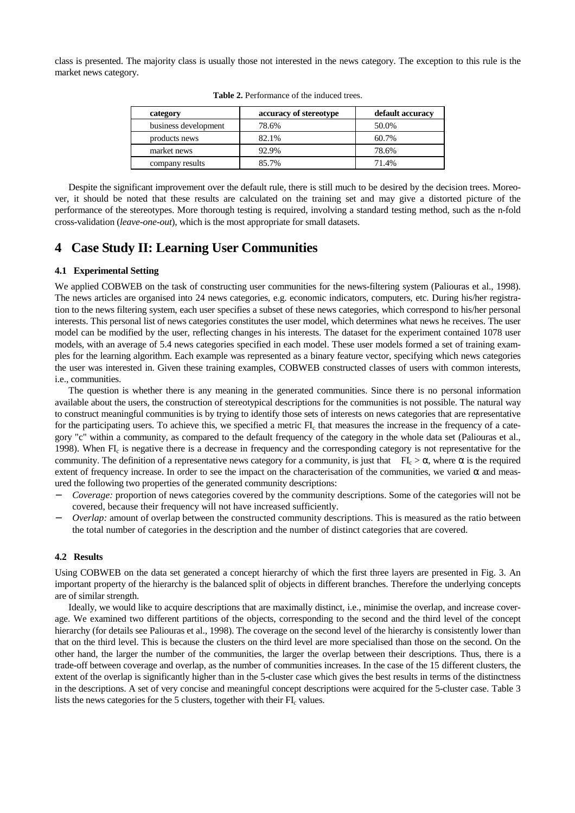class is presented. The majority class is usually those not interested in the news category. The exception to this rule is the market news category.

| category             | accuracy of stereotype | default accuracy |
|----------------------|------------------------|------------------|
| business development | 78.6%                  | 50.0%            |
| products news        | 82.1%                  | 60.7%            |
| market news          | 92.9%                  | 78.6%            |
| company results      | 85.7%                  | 71.4%            |

**Table 2.** Performance of the induced trees.

Despite the significant improvement over the default rule, there is still much to be desired by the decision trees. Moreover, it should be noted that these results are calculated on the training set and may give a distorted picture of the performance of the stereotypes. More thorough testing is required, involving a standard testing method, such as the n-fold cross-validation (*leave-one-out*), which is the most appropriate for small datasets.

## **4 Case Study II: Learning User Communities**

### **4.1 Experimental Setting**

We applied COBWEB on the task of constructing user communities for the news-filtering system (Paliouras et al., 1998). The news articles are organised into 24 news categories, e.g. economic indicators, computers, etc. During his/her registration to the news filtering system, each user specifies a subset of these news categories, which correspond to his/her personal interests. This personal list of news categories constitutes the user model, which determines what news he receives. The user model can be modified by the user, reflecting changes in his interests. The dataset for the experiment contained 1078 user models, with an average of 5.4 news categories specified in each model. These user models formed a set of training examples for the learning algorithm. Each example was represented as a binary feature vector, specifying which news categories the user was interested in. Given these training examples, COBWEB constructed classes of users with common interests, i.e., communities.

The question is whether there is any meaning in the generated communities. Since there is no personal information available about the users, the construction of stereotypical descriptions for the communities is not possible. The natural way to construct meaningful communities is by trying to identify those sets of interests on news categories that are representative for the participating users. To achieve this, we specified a metric  $FI_c$  that measures the increase in the frequency of a category "c" within a community, as compared to the default frequency of the category in the whole data set (Paliouras et al., 1998). When  $FI_c$  is negative there is a decrease in frequency and the corresponding category is not representative for the community. The definition of a representative news category for a community, is just that  $F1_c > \alpha$ , where  $\alpha$  is the required extent of frequency increase. In order to see the impact on the characterisation of the communities, we varied  $\alpha$  and measured the following two properties of the generated community descriptions:

- *Coverage:* proportion of news categories covered by the community descriptions. Some of the categories will not be covered, because their frequency will not have increased sufficiently.
- *Overlap:* amount of overlap between the constructed community descriptions. This is measured as the ratio between the total number of categories in the description and the number of distinct categories that are covered.

#### **4.2 Results**

Using COBWEB on the data set generated a concept hierarchy of which the first three layers are presented in Fig. 3. An important property of the hierarchy is the balanced split of objects in different branches. Therefore the underlying concepts are of similar strength.

Ideally, we would like to acquire descriptions that are maximally distinct, i.e., minimise the overlap, and increase coverage. We examined two different partitions of the objects, corresponding to the second and the third level of the concept hierarchy (for details see Paliouras et al., 1998). The coverage on the second level of the hierarchy is consistently lower than that on the third level. This is because the clusters on the third level are more specialised than those on the second. On the other hand, the larger the number of the communities, the larger the overlap between their descriptions. Thus, there is a trade-off between coverage and overlap, as the number of communities increases. In the case of the 15 different clusters, the extent of the overlap is significantly higher than in the 5-cluster case which gives the best results in terms of the distinctness in the descriptions. A set of very concise and meaningful concept descriptions were acquired for the 5-cluster case. Table 3 lists the news categories for the  $5$  clusters, together with their  $FI<sub>c</sub>$  values.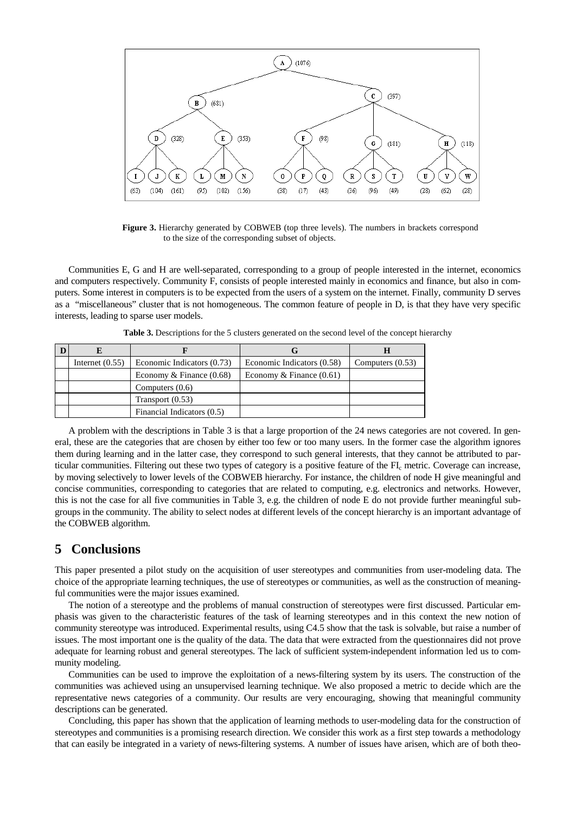

**Figure 3.** Hierarchy generated by COBWEB (top three levels). The numbers in brackets correspond to the size of the corresponding subset of objects.

Communities E, G and H are well-separated, corresponding to a group of people interested in the internet, economics and computers respectively. Community F, consists of people interested mainly in economics and finance, but also in computers. Some interest in computers is to be expected from the users of a system on the internet. Finally, community D serves as a "miscellaneous" cluster that is not homogeneous. The common feature of people in D, is that they have very specific interests, leading to sparse user models.

|  |  | <b>Table 3.</b> Descriptions for the 5 clusters generated on the second level of the concept hierarchy |
|--|--|--------------------------------------------------------------------------------------------------------|
|  |  |                                                                                                        |

|                   |                            | G                          |                    |
|-------------------|----------------------------|----------------------------|--------------------|
| Internet $(0.55)$ | Economic Indicators (0.73) | Economic Indicators (0.58) | Computers $(0.53)$ |
|                   | Economy & Finance $(0.68)$ | Economy & Finance $(0.61)$ |                    |
|                   | Computers $(0.6)$          |                            |                    |
|                   | Transport (0.53)           |                            |                    |
|                   | Financial Indicators (0.5) |                            |                    |

A problem with the descriptions in Table 3 is that a large proportion of the 24 news categories are not covered. In general, these are the categories that are chosen by either too few or too many users. In the former case the algorithm ignores them during learning and in the latter case, they correspond to such general interests, that they cannot be attributed to particular communities. Filtering out these two types of category is a positive feature of the FIc metric. Coverage can increase, by moving selectively to lower levels of the COBWEB hierarchy. For instance, the children of node H give meaningful and concise communities, corresponding to categories that are related to computing, e.g. electronics and networks. However, this is not the case for all five communities in Table 3, e.g. the children of node E do not provide further meaningful subgroups in the community. The ability to select nodes at different levels of the concept hierarchy is an important advantage of the COBWEB algorithm.

## **5 Conclusions**

This paper presented a pilot study on the acquisition of user stereotypes and communities from user-modeling data. The choice of the appropriate learning techniques, the use of stereotypes or communities, as well as the construction of meaningful communities were the major issues examined.

The notion of a stereotype and the problems of manual construction of stereotypes were first discussed. Particular emphasis was given to the characteristic features of the task of learning stereotypes and in this context the new notion of community stereotype was introduced. Experimental results, using C4.5 show that the task is solvable, but raise a number of issues. The most important one is the quality of the data. The data that were extracted from the questionnaires did not prove adequate for learning robust and general stereotypes. The lack of sufficient system-independent information led us to community modeling.

Communities can be used to improve the exploitation of a news-filtering system by its users. The construction of the communities was achieved using an unsupervised learning technique. We also proposed a metric to decide which are the representative news categories of a community. Our results are very encouraging, showing that meaningful community descriptions can be generated.

Concluding, this paper has shown that the application of learning methods to user-modeling data for the construction of stereotypes and communities is a promising research direction. We consider this work as a first step towards a methodology that can easily be integrated in a variety of news-filtering systems. A number of issues have arisen, which are of both theo